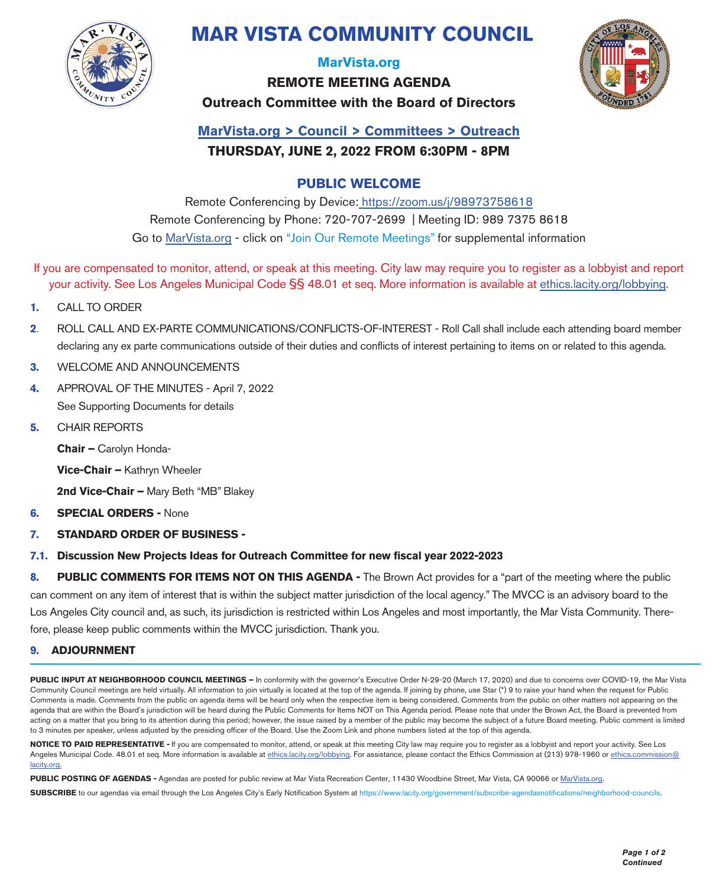

# **MAR VISTA COMMUNITY COUNCIL**

#### **MarVista.org**

**REMOTE MEETING AGENDA Outreach Committee with the Board of Directors**



### **MarVista.org > Council > Committees > Outreach THURSDAY, JUNE 2, 2022 FROM 6:30PM - 8PM**

#### **PUBLIC WELCOME**

Remote Conferencing by Device: https://zoom.us/j/98973758618 Remote Conferencing by Phone: 720-707-2699 | Meeting ID: 989 7375 8618 Go to MarVista.org - click on "Join Our Remote Meetings" for supplemental information

- If you are compensated to monitor, attend, or speak at this meeting. City law may require you to register as a lobbyist and report your activity. See Los Angeles Municipal Code §§ 48.01 et seq. More information is available at ethics.lacity.org/lobbying.
- **1.** CALL TO ORDER
- **2**. ROLL CALL AND EX-PARTE COMMUNICATIONS/CONFLICTS-OF-INTEREST Roll Call shall include each attending board member declaring any ex parte communications outside of their duties and conflicts of interest pertaining to items on or related to this agenda.
- **3.** WELCOME AND ANNOUNCEMENTS
- **4.** APPROVAL OF THE MINUTES April 7, 2022 See Supporting Documents for details
- **5.** CHAIR REPORTS

**Chair –** Carolyn Honda-

**Vice-Chair –** Kathryn Wheeler

**2nd Vice-Chair –** Mary Beth "MB" Blakey

- **6. SPECIAL ORDERS -** None
- **7. STANDARD ORDER OF BUSINESS -**
- **7.1. Discussion New Projects Ideas for Outreach Committee for new fiscal year 2022-2023**

**8. PUBLIC COMMENTS FOR ITEMS NOT ON THIS AGENDA -** The Brown Act provides for a "part of the meeting where the public can comment on any item of interest that is within the subject matter jurisdiction of the local agency." The MVCC is an advisory board to the Los Angeles City council and, as such, its jurisdiction is restricted within Los Angeles and most importantly, the Mar Vista Community. Therefore, please keep public comments within the MVCC jurisdiction. Thank you.

#### **9. ADJOURNMENT**

PUBLIC INPUT AT NEIGHBORHOOD COUNCIL MEETINGS – In conformity with the governor's Executive Order N-29-20 (March 17, 2020) and due to concerns over COVID-19, the Mar Vista Community Council meetings are held virtually. All information to join virtually is located at the top of the agenda. If joining by phone, use Star (\*) 9 to raise your hand when the request for Public Comments is made. Comments from the public on agenda items will be heard only when the respective item is being considered. Comments from the public on other matters not appearing on the agenda that are within the Board's jurisdiction will be heard during the Public Comments for Items NOT on This Agenda period. Please note that under the Brown Act, the Board is prevented from acting on a matter that you bring to its attention during this period; however, the issue raised by a member of the public may become the subject of a future Board meeting. Public comment is limited to 3 minutes per speaker, unless adjusted by the presiding officer of the Board. Use the Zoom Link and phone numbers listed at the top of this agenda.

**NOTICE TO PAID REPRESENTATIVE -** If you are compensated to monitor, attend, or speak at this meeting City law may require you to register as a lobbyist and report your activity. See Los Angeles Municipal Code. 48.01 et seq. More information is available at ethics.lacity.org/lobbying. For assistance, please contact the Ethics Commission at (213) 978-1960 or ethics.commission@ lacity.org.

**PUBLIC POSTING OF AGENDAS -** Agendas are posted for public review at Mar Vista Recreation Center, 11430 Woodbine Street, Mar Vista, CA 90066 or MarVista.org.

**SUBSCRIBE** to our agendas via email through the Los Angeles City's Early Notification System at https://www.lacity.org/government/subscribe-agendasnotifications/neighborhood-councils.